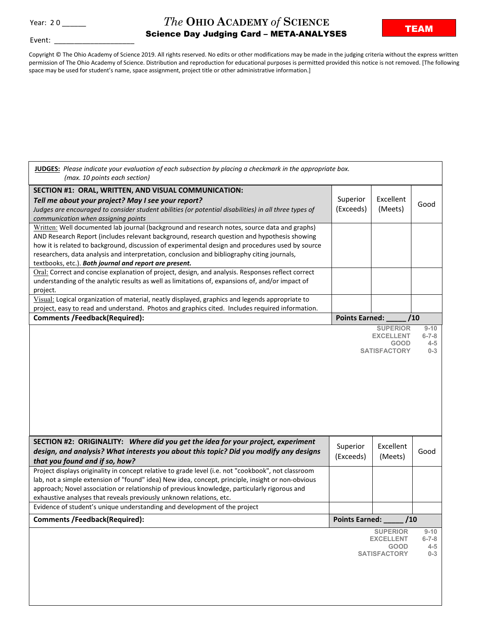Event:

## **The OHIO ACADEMY of SCIENCE**<br> **TEAM**Science Day Judging Card META ANALYSES Science Day Judging Card – META-ANALYSES

Copyright © The Ohio Academy of Science 2019. All rights reserved. No edits or other modifications may be made in the judging criteria without the express written permission of The Ohio Academy of Science. Distribution and reproduction for educational purposes is permitted provided this notice is not removed. [The following space may be used for student's name, space assignment, project title or other administrative information.]

| JUDGES: Please indicate your evaluation of each subsection by placing a checkmark in the appropriate box.<br>(max. 10 points each section)                                                                                                                                                                                                                                                                                                               |                       |                                 |                                   |
|----------------------------------------------------------------------------------------------------------------------------------------------------------------------------------------------------------------------------------------------------------------------------------------------------------------------------------------------------------------------------------------------------------------------------------------------------------|-----------------------|---------------------------------|-----------------------------------|
| SECTION #1: ORAL, WRITTEN, AND VISUAL COMMUNICATION:<br>Tell me about your project? May I see your report?<br>Judges are encouraged to consider student abilities (or potential disabilities) in all three types of<br>communication when assigning points                                                                                                                                                                                               | Superior<br>(Exceeds) | Excellent<br>(Meets)            | Good                              |
| Written: Well documented lab journal (background and research notes, source data and graphs)<br>AND Research Report (includes relevant background, research question and hypothesis showing<br>how it is related to background, discussion of experimental design and procedures used by source<br>researchers, data analysis and interpretation, conclusion and bibliography citing journals,<br>textbooks, etc.). Both journal and report are present. |                       |                                 |                                   |
| Oral: Correct and concise explanation of project, design, and analysis. Responses reflect correct<br>understanding of the analytic results as well as limitations of, expansions of, and/or impact of<br>project.                                                                                                                                                                                                                                        |                       |                                 |                                   |
| Visual: Logical organization of material, neatly displayed, graphics and legends appropriate to<br>project, easy to read and understand. Photos and graphics cited. Includes required information.                                                                                                                                                                                                                                                       |                       |                                 |                                   |
| <b>Comments /Feedback(Required):</b>                                                                                                                                                                                                                                                                                                                                                                                                                     | <b>Points Earned:</b> |                                 | /10                               |
|                                                                                                                                                                                                                                                                                                                                                                                                                                                          |                       | <b>EXCELLENT</b><br><b>GOOD</b> | $6 - 7 - 8$<br>$4 - 5$<br>$0 - 3$ |
|                                                                                                                                                                                                                                                                                                                                                                                                                                                          |                       | <b>SATISFACTORY</b>             |                                   |
| SECTION #2: ORIGINALITY: Where did you get the idea for your project, experiment<br>design, and analysis? What interests you about this topic? Did you modify any designs<br>that you found and if so, how?                                                                                                                                                                                                                                              | Superior<br>(Exceeds) | Excellent<br>(Meets)            | Good                              |
| Project displays originality in concept relative to grade level (i.e. not "cookbook", not classroom<br>lab, not a simple extension of "found" idea) New idea, concept, principle, insight or non-obvious<br>approach; Novel association or relationship of previous knowledge, particularly rigorous and<br>exhaustive analyses that reveals previously unknown relations, etc.                                                                          |                       |                                 |                                   |
| Evidence of student's unique understanding and development of the project                                                                                                                                                                                                                                                                                                                                                                                |                       |                                 |                                   |
| <b>Comments /Feedback(Required):</b>                                                                                                                                                                                                                                                                                                                                                                                                                     | <b>Points Earned:</b> | /10                             |                                   |